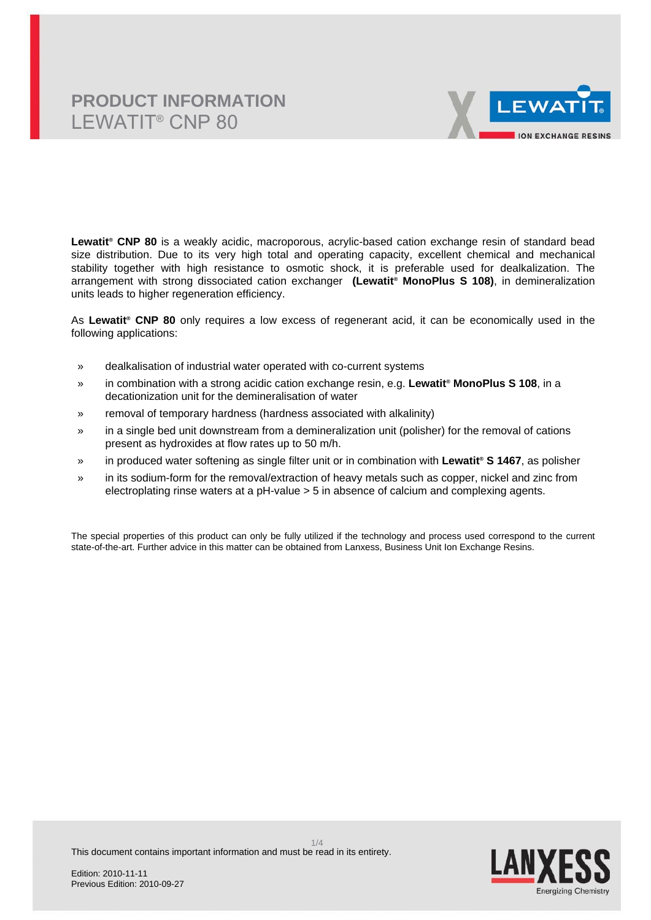

**Lewatit® CNP 80** is a weakly acidic, macroporous, acrylic-based cation exchange resin of standard bead size distribution. Due to its very high total and operating capacity, excellent chemical and mechanical stability together with high resistance to osmotic shock, it is preferable used for dealkalization. The arrangement with strong dissociated cation exchanger **(Lewatit® MonoPlus S 108)**, in demineralization units leads to higher regeneration efficiency.

As **Lewatit® CNP 80** only requires a low excess of regenerant acid, it can be economically used in the following applications:

- » dealkalisation of industrial water operated with co-current systems
- » in combination with a strong acidic cation exchange resin, e.g. **Lewatit® MonoPlus S 108**, in a decationization unit for the demineralisation of water
- » removal of temporary hardness (hardness associated with alkalinity)
- » in a single bed unit downstream from a demineralization unit (polisher) for the removal of cations present as hydroxides at flow rates up to 50 m/h.
- » in produced water softening as single filter unit or in combination with **Lewatit® S 1467**, as polisher
- » in its sodium-form for the removal/extraction of heavy metals such as copper, nickel and zinc from electroplating rinse waters at a pH-value > 5 in absence of calcium and complexing agents.

The special properties of this product can only be fully utilized if the technology and process used correspond to the current state-of-the-art. Further advice in this matter can be obtained from Lanxess, Business Unit Ion Exchange Resins.

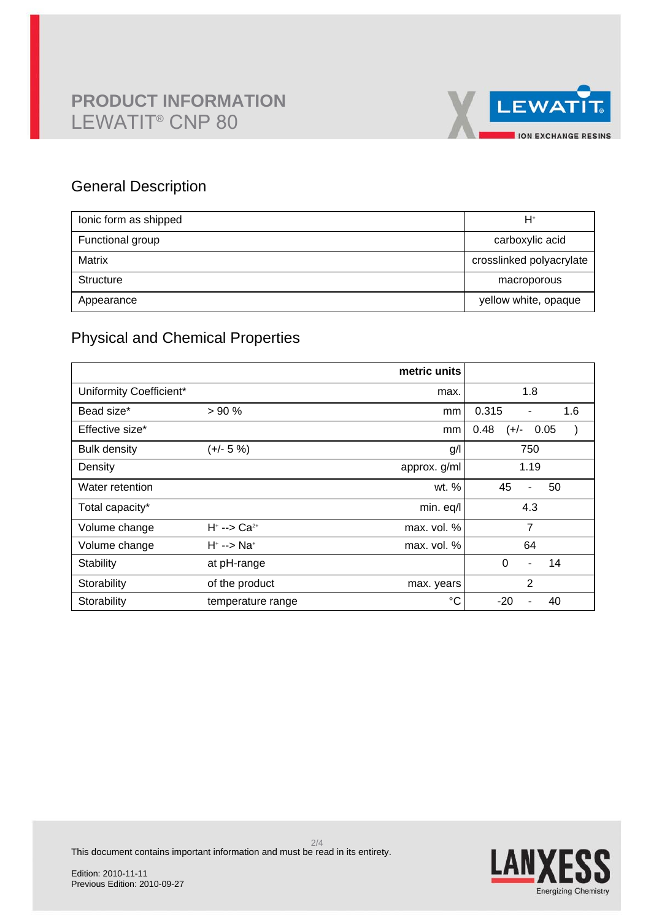

### General Description

| lonic form as shipped | H+                       |
|-----------------------|--------------------------|
| Functional group      | carboxylic acid          |
| Matrix                | crosslinked polyacrylate |
| Structure             | macroporous              |
| Appearance            | yellow white, opaque     |

### Physical and Chemical Properties

|                         |                               | metric units |                                  |
|-------------------------|-------------------------------|--------------|----------------------------------|
| Uniformity Coefficient* |                               | max.         | 1.8                              |
| Bead size*              | >90%                          | mm           | 0.315<br>1.6<br>$\blacksquare$   |
| Effective size*         |                               | mm           | 0.48<br>(+/-<br>0.05             |
| <b>Bulk density</b>     | $(+/- 5%)$                    | g/           | 750                              |
| Density                 |                               | approx. g/ml | 1.19                             |
| Water retention         |                               | wt. %        | 45<br>50<br>$\blacksquare$       |
| Total capacity*         |                               | min. eq/l    | 4.3                              |
| Volume change           | $H^* \rightarrow Ca^{2*}$     | max. vol. %  | 7                                |
| Volume change           | $H^* \rightarrow \text{Na}^*$ | max. vol. %  | 64                               |
| Stability               | at pH-range                   |              | $\Omega$<br>14<br>$\blacksquare$ |
| Storability             | of the product                | max. years   | $\overline{2}$                   |
| Storability             | temperature range             | °C           | $-20$<br>40                      |

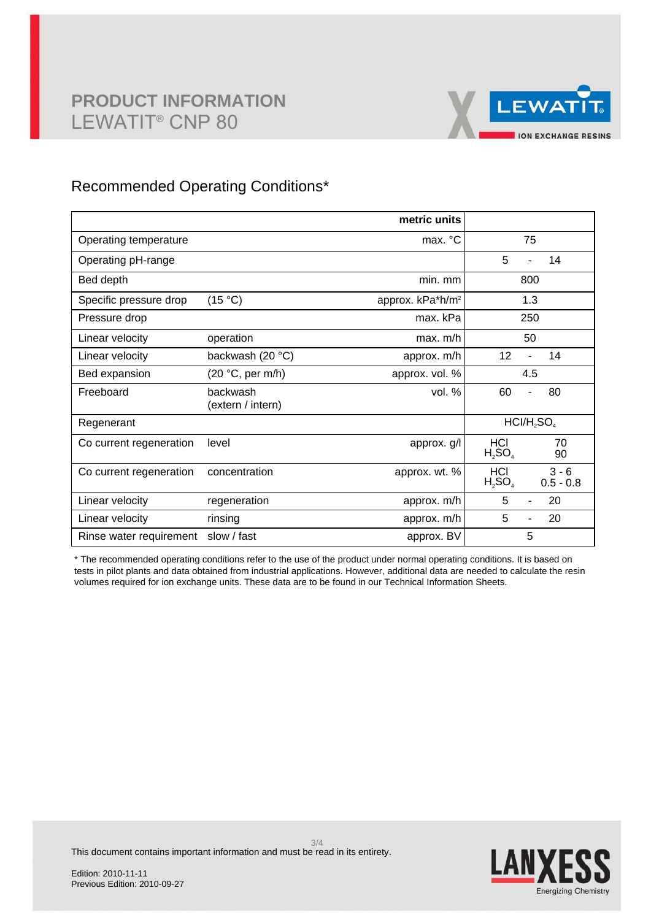

### Recommended Operating Conditions\*

|                         |                               | metric units                 |                                            |
|-------------------------|-------------------------------|------------------------------|--------------------------------------------|
| Operating temperature   |                               | max. °C                      | 75                                         |
| Operating pH-range      |                               |                              | 5<br>14                                    |
| Bed depth               |                               | min. mm                      | 800                                        |
| Specific pressure drop  | (15 °C)                       | approx. kPa*h/m <sup>2</sup> | 1.3                                        |
| Pressure drop           |                               | max. kPa                     | 250                                        |
| Linear velocity         | operation                     | max. m/h                     | 50                                         |
| Linear velocity         | backwash (20 °C)              | approx. m/h                  | 12<br>14<br>$\overline{a}$                 |
| Bed expansion           | (20 °C, per m/h)              | approx. vol. %               | 4.5                                        |
| Freeboard               | backwash<br>(extern / intern) | vol. %                       | 60<br>80<br>÷,                             |
| Regenerant              |                               |                              | $HCI/H$ <sub>2</sub> SO <sub>4</sub>       |
| Co current regeneration | level                         | approx. g/l                  | <b>HCI</b><br>70<br>$H_2SO_4$<br>90        |
| Co current regeneration | concentration                 | approx. wt. %                | $3 - 6$<br>HCI<br>$H_2SO_4$<br>$0.5 - 0.8$ |
| Linear velocity         | regeneration                  | approx. m/h                  | 5<br>20                                    |
| Linear velocity         | rinsing                       | approx. m/h                  | 5<br>20                                    |
| Rinse water requirement | slow / fast                   | approx. BV                   | 5                                          |

\* The recommended operating conditions refer to the use of the product under normal operating conditions. It is based on tests in pilot plants and data obtained from industrial applications. However, additional data are needed to calculate the resin volumes required for ion exchange units. These data are to be found in our Technical Information Sheets.